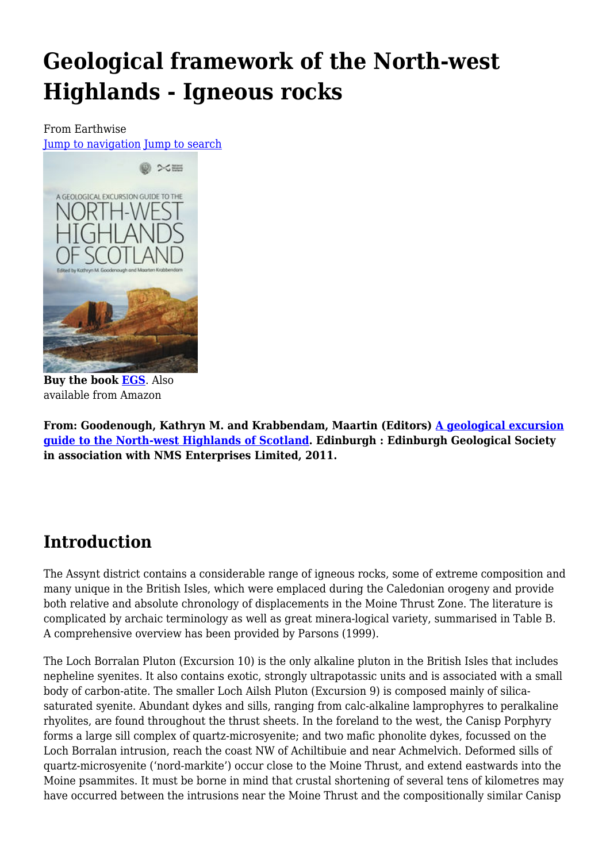# **Geological framework of the North-west Highlands - Igneous rocks**

#### From Earthwise [Jump to navigation](#page--1-0) [Jump to search](#page--1-0)



**Buy the book [EGS](http://www.edinburghgeolsoc.org/p_sales.html#nwh)**. Also available from Amazon

**From: Goodenough, Kathryn M. and Krabbendam, Maartin (Editors) [A geological excursion](http://earthwise.bgs.ac.uk/index.php/Geological_excursion_guide_to_the_North-west_Highlands_of_Scotland) [guide to the North-west Highlands of Scotland.](http://earthwise.bgs.ac.uk/index.php/Geological_excursion_guide_to_the_North-west_Highlands_of_Scotland) Edinburgh : Edinburgh Geological Society in association with NMS Enterprises Limited, 2011.**

# **Introduction**

The Assynt district contains a considerable range of igneous rocks, some of extreme composition and many unique in the British Isles, which were emplaced during the Caledonian orogeny and provide both relative and absolute chronology of displacements in the Moine Thrust Zone. The literature is complicated by archaic terminology as well as great minera-logical variety, summarised in Table B. A comprehensive overview has been provided by Parsons (1999).

The Loch Borralan Pluton (Excursion 10) is the only alkaline pluton in the British Isles that includes nepheline syenites. It also contains exotic, strongly ultrapotassic units and is associated with a small body of carbon-atite. The smaller Loch Ailsh Pluton (Excursion 9) is composed mainly of silicasaturated syenite. Abundant dykes and sills, ranging from calc-alkaline lamprophyres to peralkaline rhyolites, are found throughout the thrust sheets. In the foreland to the west, the Canisp Porphyry forms a large sill complex of quartz-microsyenite; and two mafic phonolite dykes, focussed on the Loch Borralan intrusion, reach the coast NW of Achiltibuie and near Achmelvich. Deformed sills of quartz-microsyenite ('nord-markite') occur close to the Moine Thrust, and extend eastwards into the Moine psammites. It must be borne in mind that crustal shortening of several tens of kilometres may have occurred between the intrusions near the Moine Thrust and the compositionally similar Canisp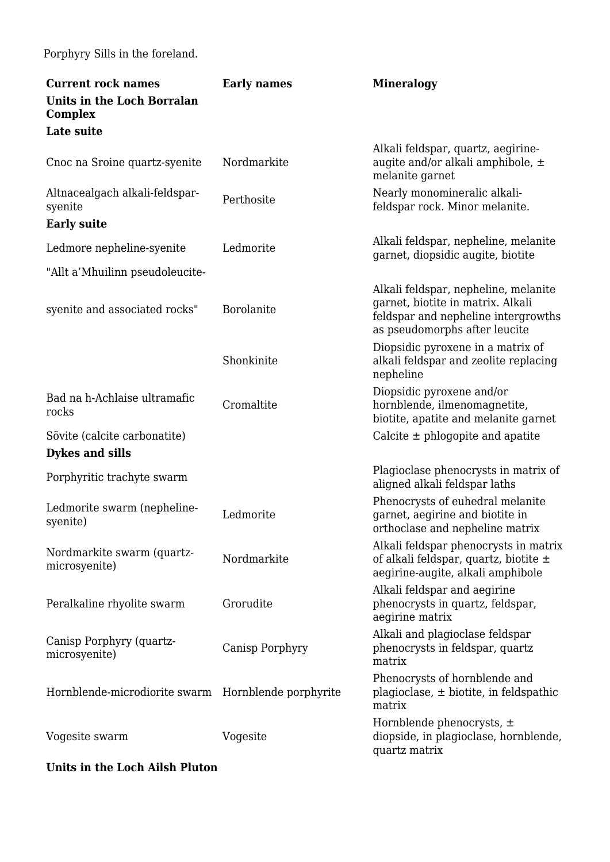Porphyry Sills in the foreland.

| <b>Current rock names</b><br>Units in the Loch Borralan<br>Complex<br>Late suite | <b>Early names</b>    | <b>Mineralogy</b>                                                                                                                                 |
|----------------------------------------------------------------------------------|-----------------------|---------------------------------------------------------------------------------------------------------------------------------------------------|
| Cnoc na Sroine quartz-syenite                                                    | Nordmarkite           | Alkali feldspar, quartz, aegirine-<br>augite and/or alkali amphibole, ±<br>melanite garnet                                                        |
| Altnacealgach alkali-feldspar-<br>syenite<br><b>Early suite</b>                  | Perthosite            | Nearly monomineralic alkali-<br>feldspar rock. Minor melanite.                                                                                    |
| Ledmore nepheline-syenite                                                        | Ledmorite             | Alkali feldspar, nepheline, melanite<br>garnet, diopsidic augite, biotite                                                                         |
| "Allt a' Mhuilinn pseudoleucite-                                                 |                       |                                                                                                                                                   |
| syenite and associated rocks"                                                    | Borolanite            | Alkali feldspar, nepheline, melanite<br>garnet, biotite in matrix. Alkali<br>feldspar and nepheline intergrowths<br>as pseudomorphs after leucite |
|                                                                                  | Shonkinite            | Diopsidic pyroxene in a matrix of<br>alkali feldspar and zeolite replacing<br>nepheline                                                           |
| Bad na h-Achlaise ultramafic<br>rocks                                            | Cromaltite            | Diopsidic pyroxene and/or<br>hornblende, ilmenomagnetite,<br>biotite, apatite and melanite garnet                                                 |
| Sövite (calcite carbonatite)<br><b>Dykes and sills</b>                           |                       | Calcite $\pm$ phlogopite and apatite                                                                                                              |
| Porphyritic trachyte swarm                                                       |                       | Plagioclase phenocrysts in matrix of<br>aligned alkali feldspar laths                                                                             |
| Ledmorite swarm (nepheline-<br>syenite)                                          | Ledmorite             | Phenocrysts of euhedral melanite<br>garnet, aegirine and biotite in<br>orthoclase and nepheline matrix                                            |
| Nordmarkite swarm (quartz-<br>microsyenite)                                      | Nordmarkite           | Alkali feldspar phenocrysts in matrix<br>of alkali feldspar, quartz, biotite ±<br>aegirine-augite, alkali amphibole                               |
| Peralkaline rhyolite swarm                                                       | Grorudite             | Alkali feldspar and aegirine<br>phenocrysts in quartz, feldspar,<br>aegirine matrix                                                               |
| Canisp Porphyry (quartz-<br>microsyenite)                                        | Canisp Porphyry       | Alkali and plagioclase feldspar<br>phenocrysts in feldspar, quartz<br>matrix                                                                      |
| Hornblende-microdiorite swarm                                                    | Hornblende porphyrite | Phenocrysts of hornblende and<br>plagioclase, $\pm$ biotite, in feldspathic<br>matrix                                                             |
| Vogesite swarm                                                                   | Vogesite              | Hornblende phenocrysts, $\pm$<br>diopside, in plagioclase, hornblende,<br>quartz matrix                                                           |
|                                                                                  |                       |                                                                                                                                                   |

**Units in the Loch Ailsh Pluton**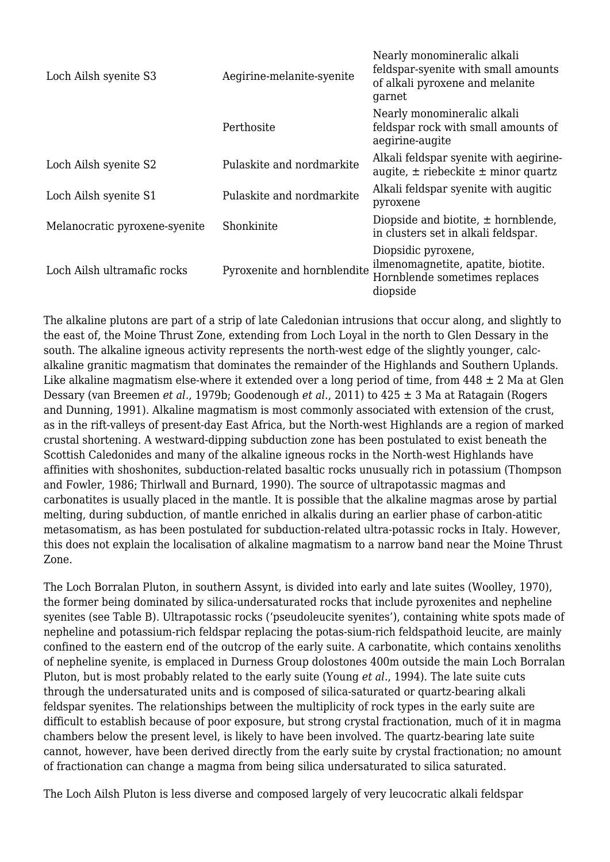| Loch Ailsh syenite S3         | Aegirine-melanite-syenite   | Nearly monomineralic alkali<br>feldspar-syenite with small amounts<br>of alkali pyroxene and melanite<br>garnet |
|-------------------------------|-----------------------------|-----------------------------------------------------------------------------------------------------------------|
|                               | Perthosite                  | Nearly monomineralic alkali<br>feldspar rock with small amounts of<br>aegirine-augite                           |
| Loch Ailsh syenite S2         | Pulaskite and nordmarkite   | Alkali feldspar syenite with aegirine-<br>augite, $\pm$ riebeckite $\pm$ minor quartz                           |
| Loch Ailsh syenite S1         | Pulaskite and nordmarkite   | Alkali feldspar syenite with augitic<br>pyroxene                                                                |
| Melanocratic pyroxene-syenite | Shonkinite                  | Diopside and biotite, $\pm$ hornblende,<br>in clusters set in alkali feldspar.                                  |
| Loch Ailsh ultramafic rocks   | Pyroxenite and hornblendite | Diopsidic pyroxene,<br>ilmenomagnetite, apatite, biotite.<br>Hornblende sometimes replaces<br>diopside          |

The alkaline plutons are part of a strip of late Caledonian intrusions that occur along, and slightly to the east of, the Moine Thrust Zone, extending from Loch Loyal in the north to Glen Dessary in the south. The alkaline igneous activity represents the north-west edge of the slightly younger, calcalkaline granitic magmatism that dominates the remainder of the Highlands and Southern Uplands. Like alkaline magmatism else-where it extended over a long period of time, from  $448 \pm 2$  Ma at Glen Dessary (van Breemen *et al*., 1979b; Goodenough *et al*., 2011) to 425 ± 3 Ma at Ratagain (Rogers and Dunning, 1991). Alkaline magmatism is most commonly associated with extension of the crust, as in the rift-valleys of present-day East Africa, but the North-west Highlands are a region of marked crustal shortening. A westward-dipping subduction zone has been postulated to exist beneath the Scottish Caledonides and many of the alkaline igneous rocks in the North-west Highlands have affinities with shoshonites, subduction-related basaltic rocks unusually rich in potassium (Thompson and Fowler, 1986; Thirlwall and Burnard, 1990). The source of ultrapotassic magmas and carbonatites is usually placed in the mantle. It is possible that the alkaline magmas arose by partial melting, during subduction, of mantle enriched in alkalis during an earlier phase of carbon-atitic metasomatism, as has been postulated for subduction-related ultra-potassic rocks in Italy. However, this does not explain the localisation of alkaline magmatism to a narrow band near the Moine Thrust Zone.

The Loch Borralan Pluton, in southern Assynt, is divided into early and late suites (Woolley, 1970), the former being dominated by silica-undersaturated rocks that include pyroxenites and nepheline syenites (see Table B). Ultrapotassic rocks ('pseudoleucite syenites'), containing white spots made of nepheline and potassium-rich feldspar replacing the potas-sium-rich feldspathoid leucite, are mainly confined to the eastern end of the outcrop of the early suite. A carbonatite, which contains xenoliths of nepheline syenite, is emplaced in Durness Group dolostones 400m outside the main Loch Borralan Pluton, but is most probably related to the early suite (Young *et al*., 1994). The late suite cuts through the undersaturated units and is composed of silica-saturated or quartz-bearing alkali feldspar syenites. The relationships between the multiplicity of rock types in the early suite are difficult to establish because of poor exposure, but strong crystal fractionation, much of it in magma chambers below the present level, is likely to have been involved. The quartz-bearing late suite cannot, however, have been derived directly from the early suite by crystal fractionation; no amount of fractionation can change a magma from being silica undersaturated to silica saturated.

The Loch Ailsh Pluton is less diverse and composed largely of very leucocratic alkali feldspar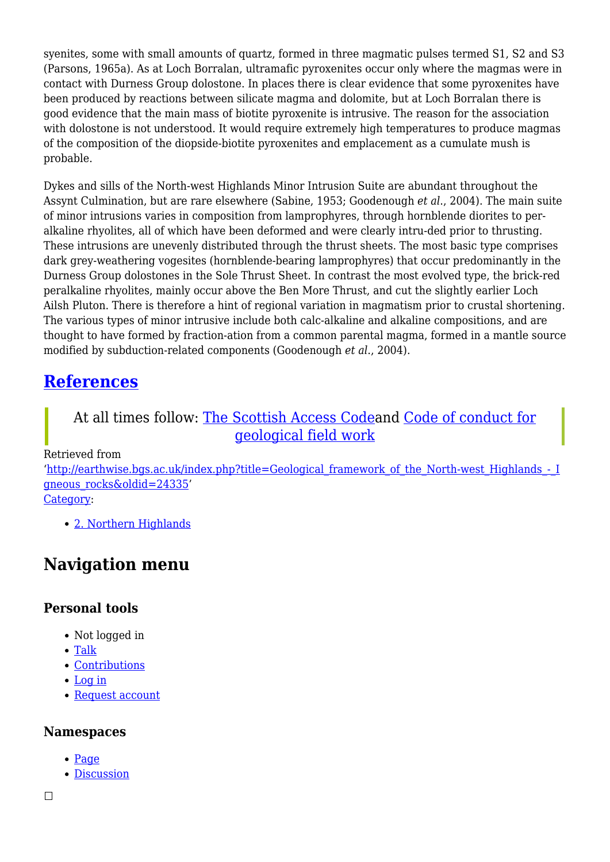syenites, some with small amounts of quartz, formed in three magmatic pulses termed S1, S2 and S3 (Parsons, 1965a). As at Loch Borralan, ultramafic pyroxenites occur only where the magmas were in contact with Durness Group dolostone. In places there is clear evidence that some pyroxenites have been produced by reactions between silicate magma and dolomite, but at Loch Borralan there is good evidence that the main mass of biotite pyroxenite is intrusive. The reason for the association with dolostone is not understood. It would require extremely high temperatures to produce magmas of the composition of the diopside-biotite pyroxenites and emplacement as a cumulate mush is probable.

Dykes and sills of the North-west Highlands Minor Intrusion Suite are abundant throughout the Assynt Culmination, but are rare elsewhere (Sabine, 1953; Goodenough *et al*., 2004). The main suite of minor intrusions varies in composition from lamprophyres, through hornblende diorites to peralkaline rhyolites, all of which have been deformed and were clearly intru-ded prior to thrusting. These intrusions are unevenly distributed through the thrust sheets. The most basic type comprises dark grey-weathering vogesites (hornblende-bearing lamprophyres) that occur predominantly in the Durness Group dolostones in the Sole Thrust Sheet. In contrast the most evolved type, the brick-red peralkaline rhyolites, mainly occur above the Ben More Thrust, and cut the slightly earlier Loch Ailsh Pluton. There is therefore a hint of regional variation in magmatism prior to crustal shortening. The various types of minor intrusive include both calc-alkaline and alkaline compositions, and are thought to have formed by fraction-ation from a common parental magma, formed in a mantle source modified by subduction-related components (Goodenough *et al*., 2004).

# **[References](http://earthwise.bgs.ac.uk/index.php/References_-_Geological_excursion_guide_to_the_North-west_Highlands_of_Scotland)**

## At all times follow: [The Scottish Access Codea](http://www.outdooraccess-scotland.com/the-act-and-the-code/introduction)nd [Code of conduct for](https://www.scottishgeology.com/where-to-go/geological-fieldwork-code/) [geological field work](https://www.scottishgeology.com/where-to-go/geological-fieldwork-code/)

Retrieved from

'[http://earthwise.bgs.ac.uk/index.php?title=Geological\\_framework\\_of\\_the\\_North-west\\_Highlands\\_-\\_I](http://earthwise.bgs.ac.uk/index.php?title=Geological_framework_of_the_North-west_Highlands_-_Igneous_rocks&oldid=24335) [gneous\\_rocks&oldid=24335](http://earthwise.bgs.ac.uk/index.php?title=Geological_framework_of_the_North-west_Highlands_-_Igneous_rocks&oldid=24335)' [Category](http://earthwise.bgs.ac.uk/index.php/Special:Categories):

[2. Northern Highlands](http://earthwise.bgs.ac.uk/index.php/Category:2._Northern_Highlands)

# **Navigation menu**

#### **Personal tools**

- Not logged in
- [Talk](http://earthwise.bgs.ac.uk/index.php/Special:MyTalk)
- [Contributions](http://earthwise.bgs.ac.uk/index.php/Special:MyContributions)
- [Log in](http://earthwise.bgs.ac.uk/index.php?title=Special:UserLogin&returnto=Geological+framework+of+the+North-west+Highlands+-+Igneous+rocks&returntoquery=action%3Dmpdf)
- [Request account](http://earthwise.bgs.ac.uk/index.php/Special:RequestAccount)

#### **Namespaces**

- [Page](http://earthwise.bgs.ac.uk/index.php/Geological_framework_of_the_North-west_Highlands_-_Igneous_rocks)
- [Discussion](http://earthwise.bgs.ac.uk/index.php?title=Talk:Geological_framework_of_the_North-west_Highlands_-_Igneous_rocks&action=edit&redlink=1)